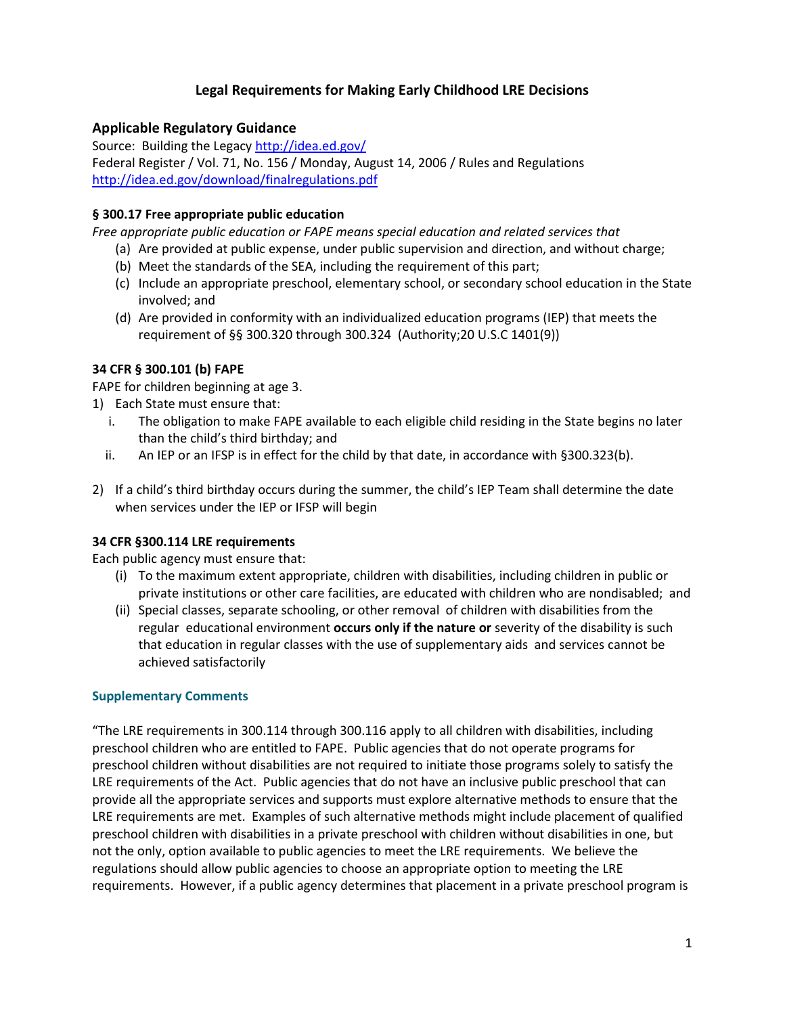# Legal Requirements for Making Early Childhood LRE Decisions

## Applicable Regulatory Guidance

Source: Building the Legacy http://idea.ed.gov/ Federal Register / Vol. 71, No. 156 / Monday, August 14, 2006 / Rules and Regulations http://idea.ed.gov/download/finalregulations.pdf

### § 300.17 Free appropriate public education

Free appropriate public education or FAPE means special education and related services that

- (a) Are provided at public expense, under public supervision and direction, and without charge;
- (b) Meet the standards of the SEA, including the requirement of this part;
- (c) Include an appropriate preschool, elementary school, or secondary school education in the State involved; and
- (d) Are provided in conformity with an individualized education programs (IEP) that meets the requirement of §§ 300.320 through 300.324 (Authority;20 U.S.C 1401(9))

#### 34 CFR § 300.101 (b) FAPE

FAPE for children beginning at age 3.

- 1) Each State must ensure that:
	- i. The obligation to make FAPE available to each eligible child residing in the State begins no later than the child's third birthday; and
	- ii. An IEP or an IFSP is in effect for the child by that date, in accordance with §300.323(b).
- 2) If a child's third birthday occurs during the summer, the child's IEP Team shall determine the date when services under the IEP or IFSP will begin

#### 34 CFR §300.114 LRE requirements

Each public agency must ensure that:

- (i) To the maximum extent appropriate, children with disabilities, including children in public or private institutions or other care facilities, are educated with children who are nondisabled; and
- (ii) Special classes, separate schooling, or other removal of children with disabilities from the regular educational environment occurs only if the nature or severity of the disability is such that education in regular classes with the use of supplementary aids and services cannot be achieved satisfactorily

#### Supplementary Comments

"The LRE requirements in 300.114 through 300.116 apply to all children with disabilities, including preschool children who are entitled to FAPE. Public agencies that do not operate programs for preschool children without disabilities are not required to initiate those programs solely to satisfy the LRE requirements of the Act. Public agencies that do not have an inclusive public preschool that can provide all the appropriate services and supports must explore alternative methods to ensure that the LRE requirements are met. Examples of such alternative methods might include placement of qualified preschool children with disabilities in a private preschool with children without disabilities in one, but not the only, option available to public agencies to meet the LRE requirements. We believe the regulations should allow public agencies to choose an appropriate option to meeting the LRE requirements. However, if a public agency determines that placement in a private preschool program is